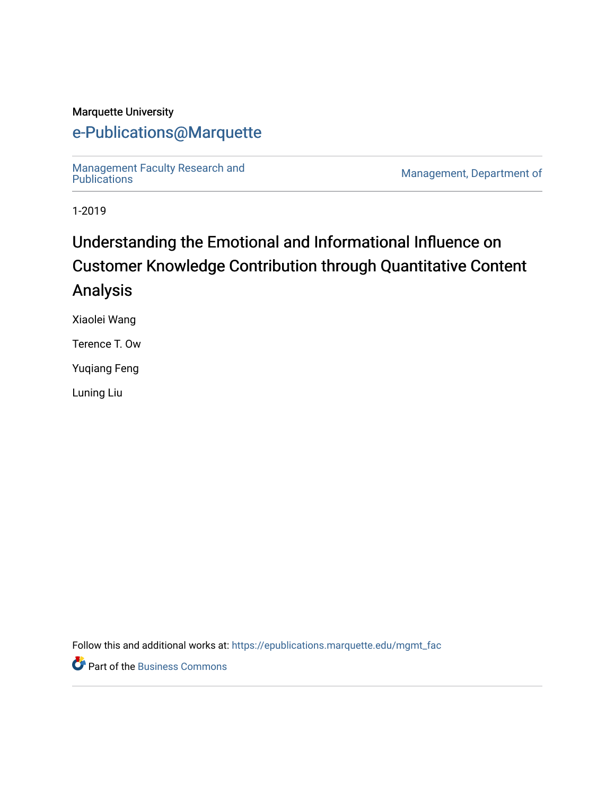### Marquette University

## [e-Publications@Marquette](https://epublications.marquette.edu/)

Management Faculty Research and<br>Publications

Management, Department of

1-2019

# Understanding the Emotional and Informational Influence on Customer Knowledge Contribution through Quantitative Content Analysis

Xiaolei Wang

Terence T. Ow

Yuqiang Feng

Luning Liu

Follow this and additional works at: [https://epublications.marquette.edu/mgmt\\_fac](https://epublications.marquette.edu/mgmt_fac?utm_source=epublications.marquette.edu%2Fmgmt_fac%2F334&utm_medium=PDF&utm_campaign=PDFCoverPages) 

**P** Part of the [Business Commons](http://network.bepress.com/hgg/discipline/622?utm_source=epublications.marquette.edu%2Fmgmt_fac%2F334&utm_medium=PDF&utm_campaign=PDFCoverPages)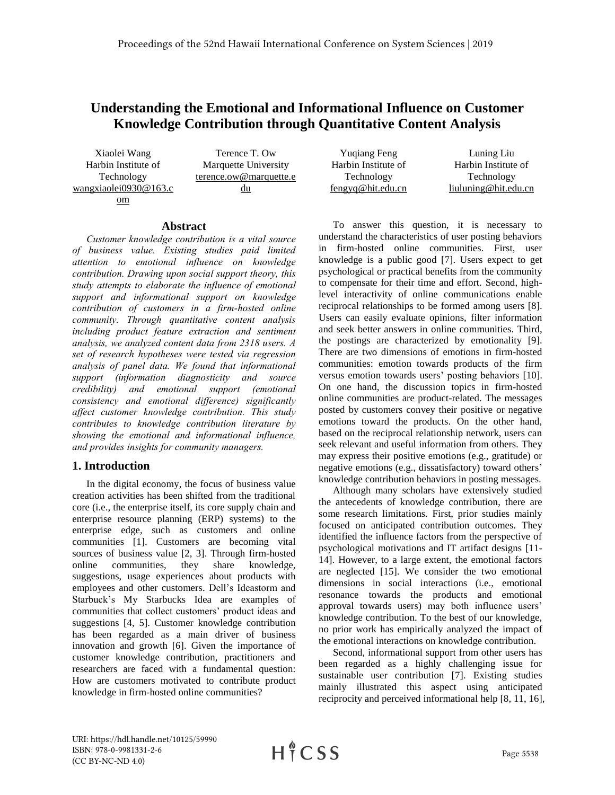## **Understanding the Emotional and Informational Influence on Customer Knowledge Contribution through Quantitative Content Analysis**

Xiaolei Wang Terence T. Ow Harbin Institute of Technology wangxiaolei0930@163.c om du

Marquette University terence.ow@marquette.e

#### **Abstract**

*Customer knowledge contribution is a vital source of business value. Existing studies paid limited attention to emotional influence on knowledge contribution. Drawing upon social support theory, this study attempts to elaborate the influence of emotional support and informational support on knowledge contribution of customers in a firm-hosted online community. Through quantitative content analysis including product feature extraction and sentiment analysis, we analyzed content data from 2318 users. A set of research hypotheses were tested via regression analysis of panel data. We found that informational support (information diagnosticity and source credibility) and emotional support (emotional consistency and emotional difference) significantly affect customer knowledge contribution. This study contributes to knowledge contribution literature by showing the emotional and informational influence, and provides insights for community managers.*

#### **1. Introduction**

In the digital economy, the focus of business value creation activities has been shifted from the traditional core (i.e., the enterprise itself, its core supply chain and enterprise resource planning (ERP) systems) to the enterprise edge, such as customers and online communities [\[1\]](#page-9-0). Customers are becoming vital sources of business value [\[2,](#page-9-1) [3\]](#page-9-2). Through firm-hosted online communities, they share knowledge, suggestions, usage experiences about products with employees and other customers. Dell's Ideastorm and Starbuck's My Starbucks Idea are examples of communities that collect customers' product ideas and suggestions [\[4,](#page-9-3) [5\]](#page-9-4). Customer knowledge contribution has been regarded as a main driver of business innovation and growth [\[6\]](#page-9-5). Given the importance of customer knowledge contribution, practitioners and researchers are faced with a fundamental question: How are customers motivated to contribute product knowledge in firm-hosted online communities?

| Luning Liu           |
|----------------------|
| Harbin Institute of  |
| Technology           |
| liuluning@hit.edu.cn |
|                      |

To answer this question, it is necessary to understand the characteristics of user posting behaviors in firm-hosted online communities. First, user knowledge is a public good [\[7\]](#page-9-6). Users expect to get psychological or practical benefits from the community to compensate for their time and effort. Second, highlevel interactivity of online communications enable reciprocal relationships to be formed among users [\[8\]](#page-9-7). Users can easily evaluate opinions, filter information and seek better answers in online communities. Third, the postings are characterized by emotionality [\[9\]](#page-9-8). There are two dimensions of emotions in firm-hosted communities: emotion towards products of the firm versus emotion towards users' posting behaviors [\[10\]](#page-9-9). On one hand, the discussion topics in firm-hosted online communities are product-related. The messages posted by customers convey their positive or negative emotions toward the products. On the other hand, based on the reciprocal relationship network, users can seek relevant and useful information from others. They may express their positive emotions (e.g., gratitude) or negative emotions (e.g., dissatisfactory) toward others' knowledge contribution behaviors in posting messages.

Although many scholars have extensively studied the antecedents of knowledge contribution, there are some research limitations. First, prior studies mainly focused on anticipated contribution outcomes. They identified the influence factors from the perspective of psychological motivations and IT artifact designs [\[11-](#page-9-10) [14\]](#page-9-10). However, to a large extent, the emotional factors are neglected [\[15\]](#page-9-11). We consider the two emotional dimensions in social interactions (i.e., emotional resonance towards the products and emotional approval towards users) may both influence users' knowledge contribution. To the best of our knowledge, no prior work has empirically analyzed the impact of the emotional interactions on knowledge contribution.

Second, informational support from other users has been regarded as a highly challenging issue for sustainable user contribution [\[7\]](#page-9-6). Existing studies mainly illustrated this aspect using anticipated reciprocity and perceived informational help [\[8,](#page-9-7) [11,](#page-9-10) [16\]](#page-9-12),

URI: https://hdl.handle.net/10125/59990 ISBN: 978-0-9981331-2-6 (CC BY-NC-ND 4.0)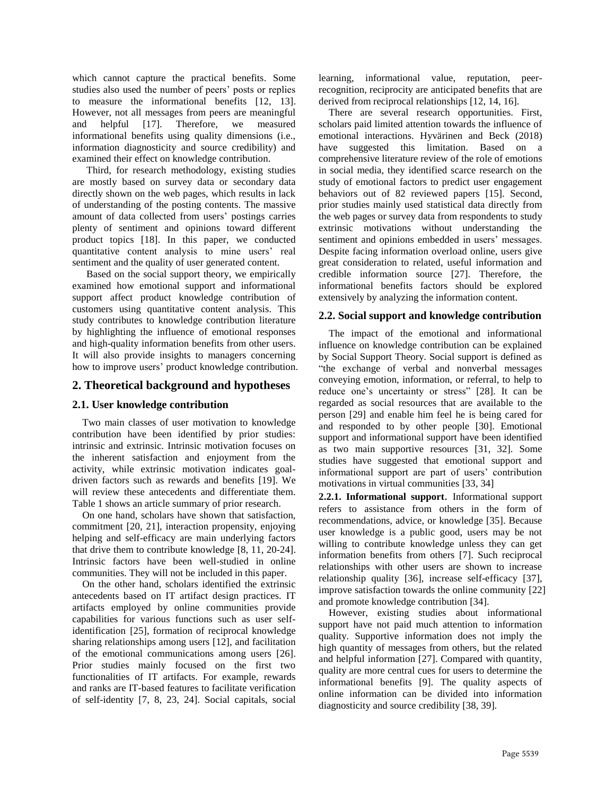which cannot capture the practical benefits. Some studies also used the number of peers' posts or replies to measure the informational benefits [\[12,](#page-9-13) [13\]](#page-9-14). However, not all messages from peers are meaningful and helpful [\[17\]](#page-9-15). Therefore, we measured informational benefits using quality dimensions (i.e., information diagnosticity and source credibility) and examined their effect on knowledge contribution.

Third, for research methodology, existing studies are mostly based on survey data or secondary data directly shown on the web pages, which results in lack of understanding of the posting contents. The massive amount of data collected from users' postings carries plenty of sentiment and opinions toward different product topics [\[18\]](#page-9-16). In this paper, we conducted quantitative content analysis to mine users' real sentiment and the quality of user generated content.

Based on the social support theory, we empirically examined how emotional support and informational support affect product knowledge contribution of customers using quantitative content analysis. This study contributes to knowledge contribution literature by highlighting the influence of emotional responses and high-quality information benefits from other users. It will also provide insights to managers concerning how to improve users' product knowledge contribution.

#### **2. Theoretical background and hypotheses**

#### **2.1. User knowledge contribution**

Two main classes of user motivation to knowledge contribution have been identified by prior studies: intrinsic and extrinsic. Intrinsic motivation focuses on the inherent satisfaction and enjoyment from the activity, while extrinsic motivation indicates goaldriven factors such as rewards and benefits [\[19\]](#page-9-17). We will review these antecedents and differentiate them. Table 1 shows an article summary of prior research.

On one hand, scholars have shown that satisfaction, commitment [\[20,](#page-9-18) [21\]](#page-9-19), interaction propensity, enjoying helping and self-efficacy are main underlying factors that drive them to contribute knowledge [\[8,](#page-9-7) [11,](#page-9-10) [20-24\]](#page-9-18). Intrinsic factors have been well-studied in online communities. They will not be included in this paper.

On the other hand, scholars identified the extrinsic antecedents based on IT artifact design practices. IT artifacts employed by online communities provide capabilities for various functions such as user selfidentification [\[25\]](#page-9-20), formation of reciprocal knowledge sharing relationships among users [\[12\]](#page-9-13), and facilitation of the emotional communications among users [\[26\]](#page-9-21). Prior studies mainly focused on the first two functionalities of IT artifacts. For example, rewards and ranks are IT-based features to facilitate verification of self-identity [\[7,](#page-9-6) [8,](#page-9-7) [23,](#page-9-22) [24\]](#page-9-23). Social capitals, social

learning, informational value, reputation, peerrecognition, reciprocity are anticipated benefits that are derived from reciprocal relationships [\[12,](#page-9-13) [14,](#page-9-24) [16\]](#page-9-12).

There are several research opportunities. First, scholars paid limited attention towards the influence of emotional interactions. Hyvärinen and Beck (2018) have suggested this limitation. Based on a comprehensive literature review of the role of emotions in social media, they identified scarce research on the study of emotional factors to predict user engagement behaviors out of 82 reviewed papers [\[15\]](#page-9-11). Second, prior studies mainly used statistical data directly from the web pages or survey data from respondents to study extrinsic motivations without understanding the sentiment and opinions embedded in users' messages. Despite facing information overload online, users give great consideration to related, useful information and credible information source [\[27\]](#page-9-25). Therefore, the informational benefits factors should be explored extensively by analyzing the information content.

#### **2.2. Social support and knowledge contribution**

The impact of the emotional and informational influence on knowledge contribution can be explained by Social Support Theory. Social support is defined as "the exchange of verbal and nonverbal messages conveying emotion, information, or referral, to help to reduce one's uncertainty or stress" [\[28\]](#page-9-26). It can be regarded as social resources that are available to the person [\[29\]](#page-9-27) and enable him feel he is being cared for and responded to by other people [\[30\]](#page-9-28). Emotional support and informational support have been identified as two main supportive resources [\[31,](#page-9-29) [32\]](#page-9-30). Some studies have suggested that emotional support and informational support are part of users' contribution motivations in virtual communities [\[33,](#page-9-31) [34\]](#page-9-32)

**2.2.1. Informational support**. Informational support refers to assistance from others in the form of recommendations, advice, or knowledge [\[35\]](#page-9-33). Because user knowledge is a public good, users may be not willing to contribute knowledge unless they can get information benefits from others [\[7\]](#page-9-6). Such reciprocal relationships with other users are shown to increase relationship quality [\[36\]](#page-9-34), increase self-efficacy [\[37\]](#page-10-0), improve satisfaction towards the online community [\[22\]](#page-9-35) and promote knowledge contribution [\[34\]](#page-9-32).

However, existing studies about informational support have not paid much attention to information quality. Supportive information does not imply the high quantity of messages from others, but the related and helpful information [\[27\]](#page-9-25). Compared with quantity, quality are more central cues for users to determine the informational benefits [\[9\]](#page-9-8). The quality aspects of online information can be divided into information diagnosticity and source credibility [\[38,](#page-10-1) [39\]](#page-10-2).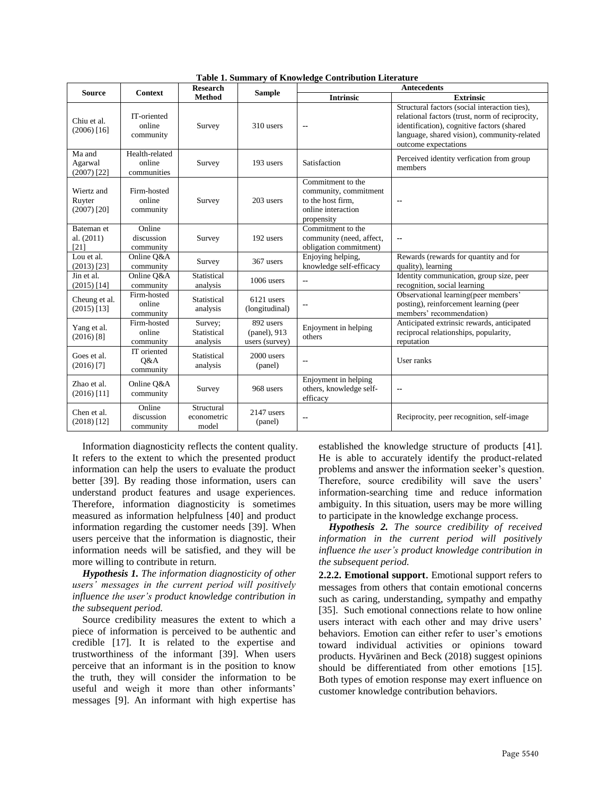| <b>Source</b>                         |                                         | <b>Research</b>                    |                                             | rasic 1. Sammary or milowitage commission miteratur<br><b>Antecedents</b>                           |                                                                                                                                                                                                                       |  |  |
|---------------------------------------|-----------------------------------------|------------------------------------|---------------------------------------------|-----------------------------------------------------------------------------------------------------|-----------------------------------------------------------------------------------------------------------------------------------------------------------------------------------------------------------------------|--|--|
|                                       | <b>Context</b>                          | <b>Method</b>                      | <b>Sample</b>                               | <b>Intrinsic</b>                                                                                    | <b>Extrinsic</b>                                                                                                                                                                                                      |  |  |
| Chiu et al.<br>$(2006)$ [16]          | IT-oriented<br>online<br>community      | Survey                             | 310 users                                   | --                                                                                                  | Structural factors (social interaction ties),<br>relational factors (trust, norm of reciprocity,<br>identification), cognitive factors (shared<br>language, shared vision), community-related<br>outcome expectations |  |  |
| Ma and<br>Agarwal<br>$(2007)$ [22]    | Health-related<br>online<br>communities | Survey                             | 193 users                                   | Satisfaction                                                                                        | Perceived identity verfication from group<br>members                                                                                                                                                                  |  |  |
| Wiertz and<br>Ruyter<br>$(2007)$ [20] | Firm-hosted<br>online<br>community      | Survey                             | 203 users                                   | Commitment to the<br>community, commitment<br>to the host firm.<br>online interaction<br>propensity | $\overline{\phantom{a}}$                                                                                                                                                                                              |  |  |
| Bateman et<br>al. (2011)<br>[21]      | Online<br>discussion<br>community       | Survey                             | 192 users                                   | Commitment to the<br>community (need, affect,<br>obligation commitment)                             | $\overline{\phantom{a}}$                                                                                                                                                                                              |  |  |
| Lou et al.<br>$(2013)$ [23]           | Online O&A<br>community                 | Survey                             | 367 users                                   | Enjoying helping,<br>knowledge self-efficacy                                                        | Rewards (rewards for quantity and for<br>quality), learning                                                                                                                                                           |  |  |
| Jin et al.<br>$(2015)$ [14]           | Online O&A<br>community                 | Statistical<br>analysis            | 1006 users                                  | --                                                                                                  | Identity communication, group size, peer<br>recognition, social learning                                                                                                                                              |  |  |
| Cheung et al.<br>$(2015)$ [13]        | Firm-hosted<br>online<br>community      | Statistical<br>analysis            | 6121 users<br>(longitudinal)                |                                                                                                     | Observational learning(peer members'<br>posting), reinforcement learning (peer<br>members' recommendation)                                                                                                            |  |  |
| Yang et al.<br>$(2016)$ [8]           | Firm-hosted<br>online<br>community      | Survey;<br>Statistical<br>analysis | 892 users<br>(panel), 913<br>users (survey) | Enjoyment in helping<br>others                                                                      | Anticipated extrinsic rewards, anticipated<br>reciprocal relationships, popularity,<br>reputation                                                                                                                     |  |  |
| Goes et al.<br>$(2016)$ [7]           | IT oriented<br>Q&A<br>community         | Statistical<br>analysis            | 2000 users<br>(panel)                       |                                                                                                     | User ranks                                                                                                                                                                                                            |  |  |
| Zhao et al.<br>$(2016)$ [11]          | Online Q&A<br>community                 | Survey                             | 968 users                                   | Enjoyment in helping<br>others, knowledge self-<br>efficacy                                         | --                                                                                                                                                                                                                    |  |  |
| Chen et al.<br>$(2018)$ [12]          | Online<br>discussion<br>community       | Structural<br>econometric<br>model | 2147 users<br>(panel)                       |                                                                                                     | Reciprocity, peer recognition, self-image                                                                                                                                                                             |  |  |

**Table 1. Summary of Knowledge Contribution Literature**

Information diagnosticity reflects the content quality. It refers to the extent to which the presented product information can help the users to evaluate the product better [\[39\]](#page-10-2). By reading those information, users can understand product features and usage experiences. Therefore, information diagnosticity is sometimes measured as information helpfulness [\[40\]](#page-10-3) and product information regarding the customer needs [\[39\]](#page-10-2). When users perceive that the information is diagnostic, their information needs will be satisfied, and they will be more willing to contribute in return.

*Hypothesis 1. The information diagnosticity of other users' messages in the current period will positively influence the user's product knowledge contribution in the subsequent period.*

Source credibility measures the extent to which a piece of information is perceived to be authentic and credible [\[17\]](#page-9-15). It is related to the expertise and trustworthiness of the informant [\[39\]](#page-10-2). When users perceive that an informant is in the position to know the truth, they will consider the information to be useful and weigh it more than other informants' messages [\[9\]](#page-9-8). An informant with high expertise has

established the knowledge structure of products [\[41\]](#page-10-4). He is able to accurately identify the product-related problems and answer the information seeker's question. Therefore, source credibility will save the users' information-searching time and reduce information ambiguity. In this situation, users may be more willing to participate in the knowledge exchange process.

*Hypothesis 2. The source credibility of received information in the current period will positively influence the user's product knowledge contribution in the subsequent period.*

**2.2.2. Emotional support**. Emotional support refers to messages from others that contain emotional concerns such as caring, understanding, sympathy and empathy [\[35\]](#page-9-33). Such emotional connections relate to how online users interact with each other and may drive users' behaviors. Emotion can either refer to user's emotions toward individual activities or opinions toward products. Hyvärinen and Beck (2018) suggest opinions should be differentiated from other emotions [\[15\]](#page-9-11). Both types of emotion response may exert influence on customer knowledge contribution behaviors.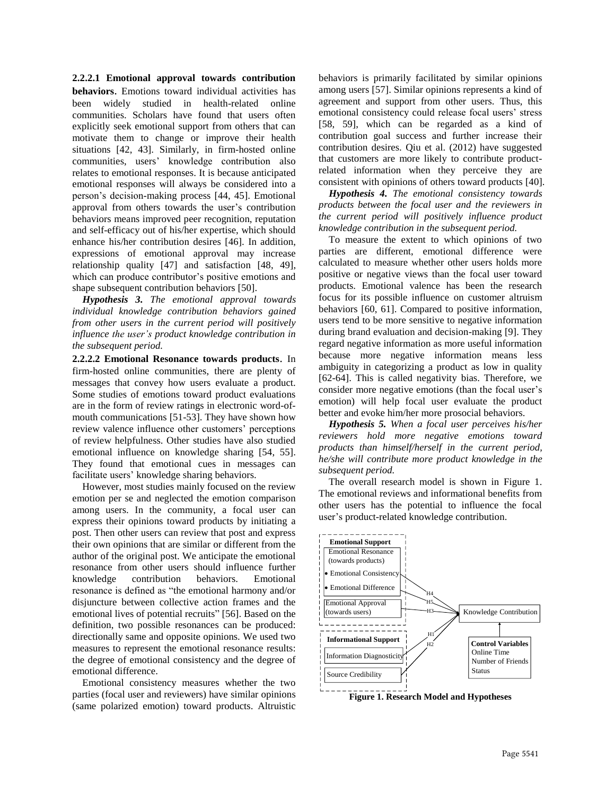**2.2.2.1 Emotional approval towards contribution behaviors**. Emotions toward individual activities has been widely studied in health-related online communities. Scholars have found that users often explicitly seek emotional support from others that can motivate them to change or improve their health situations [\[42,](#page-10-5) [43\]](#page-10-6). Similarly, in firm-hosted online communities, users' knowledge contribution also relates to emotional responses. It is because anticipated emotional responses will always be considered into a person's decision-making process [\[44,](#page-10-7) [45\]](#page-10-8). Emotional approval from others towards the user's contribution behaviors means improved peer recognition, reputation and self-efficacy out of his/her expertise, which should enhance his/her contribution desires [\[46\]](#page-10-9). In addition, expressions of emotional approval may increase relationship quality [\[47\]](#page-10-10) and satisfaction [\[48,](#page-10-11) [49\]](#page-10-12), which can produce contributor's positive emotions and shape subsequent contribution behaviors [\[50\]](#page-10-13).

*Hypothesis 3. The emotional approval towards individual knowledge contribution behaviors gained from other users in the current period will positively influence the user's product knowledge contribution in the subsequent period.*

**2.2.2.2 Emotional Resonance towards products**. In firm-hosted online communities, there are plenty of messages that convey how users evaluate a product. Some studies of emotions toward product evaluations are in the form of review ratings in electronic word-ofmouth communications [\[51-53\]](#page-10-14). They have shown how review valence influence other customers' perceptions of review helpfulness. Other studies have also studied emotional influence on knowledge sharing [\[54,](#page-10-15) [55\]](#page-10-16). They found that emotional cues in messages can facilitate users' knowledge sharing behaviors.

However, most studies mainly focused on the review emotion per se and neglected the emotion comparison among users. In the community, a focal user can express their opinions toward products by initiating a post. Then other users can review that post and express their own opinions that are similar or different from the author of the original post. We anticipate the emotional resonance from other users should influence further knowledge contribution behaviors. Emotional resonance is defined as "the emotional harmony and/or disjuncture between collective action frames and the emotional lives of potential recruits" [\[56\]](#page-10-17). Based on the definition, two possible resonances can be produced: directionally same and opposite opinions. We used two measures to represent the emotional resonance results: the degree of emotional consistency and the degree of emotional difference.

Emotional consistency measures whether the two parties (focal user and reviewers) have similar opinions (same polarized emotion) toward products. Altruistic

behaviors is primarily facilitated by similar opinions among users [\[57\]](#page-10-18). Similar opinions represents a kind of agreement and support from other users. Thus, this emotional consistency could release focal users' stress [\[58,](#page-10-19) [59\]](#page-10-20), which can be regarded as a kind of contribution goal success and further increase their contribution desires. Qiu et al. (2012) have suggested that customers are more likely to contribute productrelated information when they perceive they are consistent with opinions of others toward products [\[40\]](#page-10-3).

*Hypothesis 4. The emotional consistency towards products between the focal user and the reviewers in the current period will positively influence product knowledge contribution in the subsequent period.*

To measure the extent to which opinions of two parties are different, emotional difference were calculated to measure whether other users holds more positive or negative views than the focal user toward products. Emotional valence has been the research focus for its possible influence on customer altruism behaviors [\[60,](#page-10-21) [61\]](#page-10-22). Compared to positive information, users tend to be more sensitive to negative information during brand evaluation and decision-making [\[9\]](#page-9-8). They regard negative information as more useful information because more negative information means less ambiguity in categorizing a product as low in quality [\[62-64\]](#page-10-23). This is called negativity bias. Therefore, we consider more negative emotions (than the focal user's emotion) will help focal user evaluate the product better and evoke him/her more prosocial behaviors.

*Hypothesis 5. When a focal user perceives his/her reviewers hold more negative emotions toward products than himself/herself in the current period, he/she will contribute more product knowledge in the subsequent period.*

The overall research model is shown in Figure 1. The emotional reviews and informational benefits from other users has the potential to influence the focal user's product-related knowledge contribution.



**Figure 1. Research Model and Hypotheses**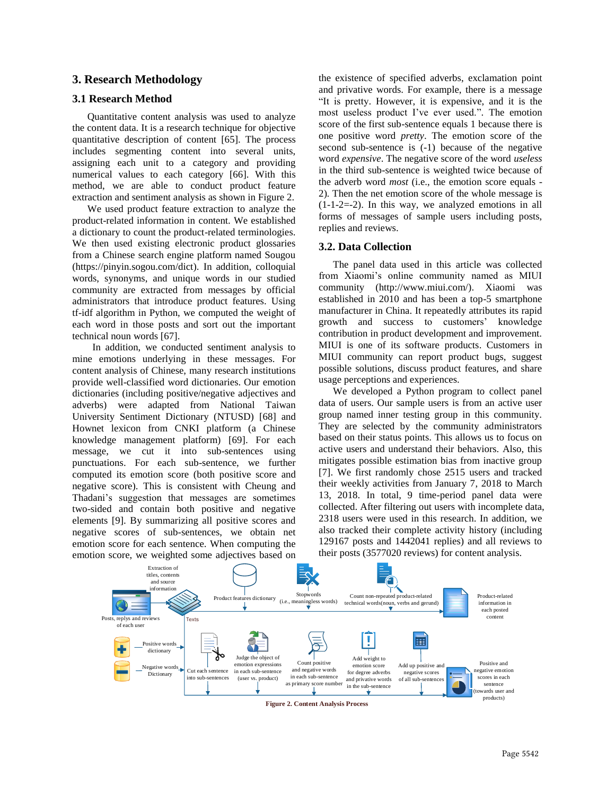#### **3. Research Methodology**

#### **3.1 Research Method**

Quantitative content analysis was used to analyze the content data. It is a research technique for objective quantitative description of content [\[65\]](#page-10-24). The process includes segmenting content into several units, assigning each unit to a category and providing numerical values to each category [\[66\]](#page-10-25). With this method, we are able to conduct product feature extraction and sentiment analysis as shown in Figure 2.

We used product feature extraction to analyze the product-related information in content. We established a dictionary to count the product-related terminologies. We then used existing electronic product glossaries from a Chinese search engine platform named Sougou (https://pinyin.sogou.com/dict). In addition, colloquial words, synonyms, and unique words in our studied community are extracted from messages by official administrators that introduce product features. Using tf-idf algorithm in Python, we computed the weight of each word in those posts and sort out the important technical noun words [\[67\]](#page-10-26).

In addition, we conducted sentiment analysis to mine emotions underlying in these messages. For content analysis of Chinese, many research institutions provide well-classified word dictionaries. Our emotion dictionaries (including positive/negative adjectives and adverbs) were adapted from National Taiwan University Sentiment Dictionary (NTUSD) [\[68\]](#page-10-27) and Hownet lexicon from CNKI platform (a Chinese knowledge management platform) [\[69\]](#page-10-28). For each message, we cut it into sub-sentences using punctuations. For each sub-sentence, we further computed its emotion score (both positive score and negative score). This is consistent with Cheung and Thadani's suggestion that messages are sometimes two-sided and contain both positive and negative elements [\[9\]](#page-9-8). By summarizing all positive scores and negative scores of sub-sentences, we obtain net emotion score for each sentence. When computing the emotion score, we weighted some adjectives based on

the existence of specified adverbs, exclamation point and privative words. For example, there is a message "It is pretty. However, it is expensive, and it is the most useless product I've ever used.". The emotion score of the first sub-sentence equals 1 because there is one positive word *pretty*. The emotion score of the second sub-sentence is (-1) because of the negative word *expensive*. The negative score of the word *useless* in the third sub-sentence is weighted twice because of the adverb word *most* (i.e., the emotion score equals - 2)*.* Then the net emotion score of the whole message is (1-1-2=-2). In this way, we analyzed emotions in all forms of messages of sample users including posts, replies and reviews.

#### **3.2. Data Collection**

The panel data used in this article was collected from Xiaomi's online community named as MIUI community (http://www.miui.com/). Xiaomi was established in 2010 and has been a top-5 smartphone manufacturer in China. It repeatedly attributes its rapid growth and success to customers' knowledge contribution in product development and improvement. MIUI is one of its software products. Customers in MIUI community can report product bugs, suggest possible solutions, discuss product features, and share usage perceptions and experiences.

We developed a Python program to collect panel data of users. Our sample users is from an active user group named inner testing group in this community. They are selected by the community administrators based on their status points. This allows us to focus on active users and understand their behaviors. Also, this mitigates possible estimation bias from inactive group [\[7\]](#page-9-6). We first randomly chose 2515 users and tracked their weekly activities from January 7, 2018 to March 13, 2018. In total, 9 time-period panel data were collected. After filtering out users with incomplete data, 2318 users were used in this research. In addition, we also tracked their complete activity history (including 129167 posts and 1442041 replies) and all reviews to their posts (3577020 reviews) for content analysis.



Page 5542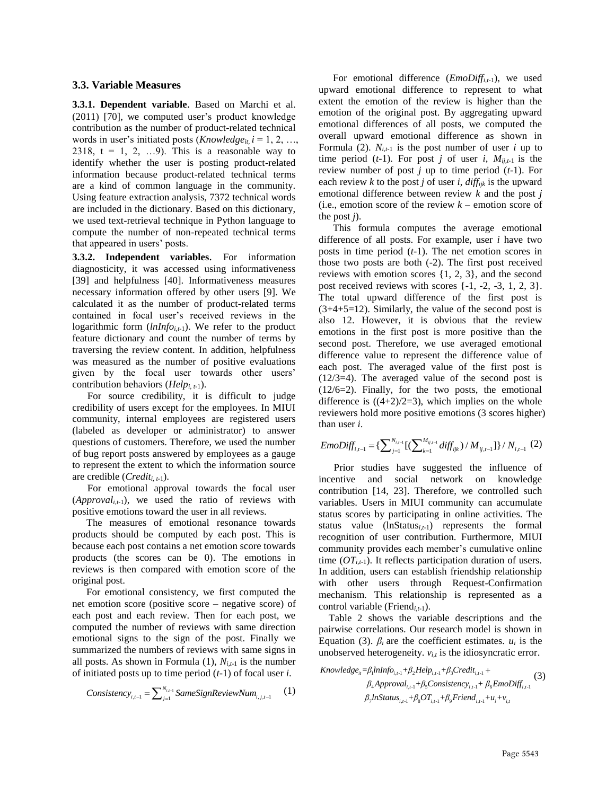#### **3.3. Variable Measures**

**3.3.1. Dependent variable**. Based on Marchi et al. (2011) [\[70\]](#page-10-29), we computed user's product knowledge contribution as the number of product-related technical words in user's initiated posts (*Knowledge<sub>it,</sub> i* = 1, 2, …, 2318,  $t = 1, 2, \ldots, 9$ . This is a reasonable way to identify whether the user is posting product-related information because product-related technical terms are a kind of common language in the community. Using feature extraction analysis, 7372 technical words are included in the dictionary. Based on this dictionary, we used text-retrieval technique in Python language to compute the number of non-repeated technical terms that appeared in users' posts.

**3.3.2. Independent variables**. For information diagnosticity, it was accessed using informativeness [\[39\]](#page-10-2) and helpfulness [\[40\]](#page-10-3). Informativeness measures necessary information offered by other users [\[9\]](#page-9-8). We calculated it as the number of product-related terms contained in focal user's received reviews in the logarithmic form (*lnInfo<sub>i,t-1</sub>*). We refer to the product feature dictionary and count the number of terms by traversing the review content. In addition, helpfulness was measured as the number of positive evaluations given by the focal user towards other users' contribution behaviors (*Helpi, t-*1).

For source credibility, it is difficult to judge credibility of users except for the employees. In MIUI community, internal employees are registered users (labeled as developer or administrator) to answer questions of customers. Therefore, we used the number of bug report posts answered by employees as a gauge to represent the extent to which the information source are credible (*Crediti, t-*1).

For emotional approval towards the focal user (*Approvali,t-*1), we used the ratio of reviews with positive emotions toward the user in all reviews.

The measures of emotional resonance towards products should be computed by each post. This is because each post contains a net emotion score towards products (the scores can be 0). The emotions in reviews is then compared with emotion score of the original post.

For emotional consistency, we first computed the net emotion score (positive score – negative score) of each post and each review. Then for each post, we computed the number of reviews with same direction emotional signs to the sign of the post. Finally we summarized the numbers of reviews with same signs in all posts. As shown in Formula  $(1)$ ,  $N_{i,t-1}$  is the number of initiated posts up to time period (*t*-1) of focal user *i*.

$$
Consistency_{i,t-1} = \sum_{j=1}^{N_{i,t-1}} SameSignReviewNum_{i,j,t-1}
$$
 (1)

For emotional difference (*EmoDiffi,t-*1), we used upward emotional difference to represent to what extent the emotion of the review is higher than the emotion of the original post. By aggregating upward emotional differences of all posts, we computed the overall upward emotional difference as shown in Formula (2).  $N_{i,t-1}$  is the post number of user *i* up to time period  $(t-1)$ . For post *j* of user *i*,  $M_{ij,t-1}$  is the review number of post *j* up to time period (*t*-1). For each review *k* to the post *j* of user *i*,  $diff_{ijk}$  is the upward emotional difference between review *k* and the post *j* (i.e., emotion score of the review *k* – emotion score of the post *j*).

This formula computes the average emotional difference of all posts. For example, user *i* have two posts in time period (*t*-1). The net emotion scores in those two posts are both (-2). The first post received reviews with emotion scores {1, 2, 3}, and the second post received reviews with scores  $\{-1, -2, -3, 1, 2, 3\}.$ The total upward difference of the first post is  $(3+4+5=12)$ . Similarly, the value of the second post is also 12. However, it is obvious that the review emotions in the first post is more positive than the second post. Therefore, we use averaged emotional difference value to represent the difference value of each post. The averaged value of the first post is (12/3=4). The averaged value of the second post is (12/6=2). Finally, for the two posts, the emotional difference is  $((4+2)/2=3)$ , which implies on the whole reviewers hold more positive emotions (3 scores higher)<br>than user *i*.<br> $\text{Emboff}_{i,t-1} = \left\{ \sum_{j=1}^{N_{i,t-1}} \left[ \left( \sum_{k=1}^{M_{ij,t-1}} diff_{ijk} \right) / M_{ij,t-1} \right] \right\} / N_{i,t-1}$  (2) than user *i*.

than user *i*.  
\n
$$
EmbDiff_{i,t-1} = {\sum_{j=1}^{N_{i,t-1}} [(\sum_{k=1}^{M_{ij,t-1}} diff_{ijk}) / M_{ij,t-1}]} / N_{i,t-1}
$$
 (2)

Prior studies have suggested the influence of incentive and social network on knowledge contribution [\[14,](#page-9-24) [23\]](#page-9-22). Therefore, we controlled such variables. Users in MIUI community can accumulate status scores by participating in online activities. The status value (lnStatus*i,t-*1) represents the formal recognition of user contribution. Furthermore, MIUI community provides each member's cumulative online time  $(OT_{i,t-1})$ . It reflects participation duration of users. In addition, users can establish friendship relationship with other users through Request-Confirmation mechanism. This relationship is represented as a control variable (Friend*i,t-*1).

Table 2 shows the variable descriptions and the pairwise correlations. Our research model is shown in Equation (3).  $\beta_i$  are the coefficient estimates.  $u_i$  is the unobserved heterogeneity.  $v_{i,t}$  is the idiosyncratic error.

*Knowledge<sub>ii</sub>* = 
$$
\beta_1
$$
*lnInfo<sub>i,i-1</sub>* +  $\beta_2$ *Help<sub>i,i-1</sub>* +  $\beta_3$ *Credit<sub>i,i-1</sub>* +  
\n $\beta_4$ *Approxal<sub>i,i-1</sub>* +  $\beta_5$ *Consistency<sub>i,i-1</sub>* +  $\beta_6$ *EmbDiff<sub>i,i-1</sub>*  
\n $\beta_7$ *lnStatus<sub>i,i-1</sub>* +  $\beta_8$ *OT<sub>i,i-1</sub>* +  $\beta_9$ *Friend<sub>i,i-1</sub>* +  $u_i$  +  $v_{i,i}$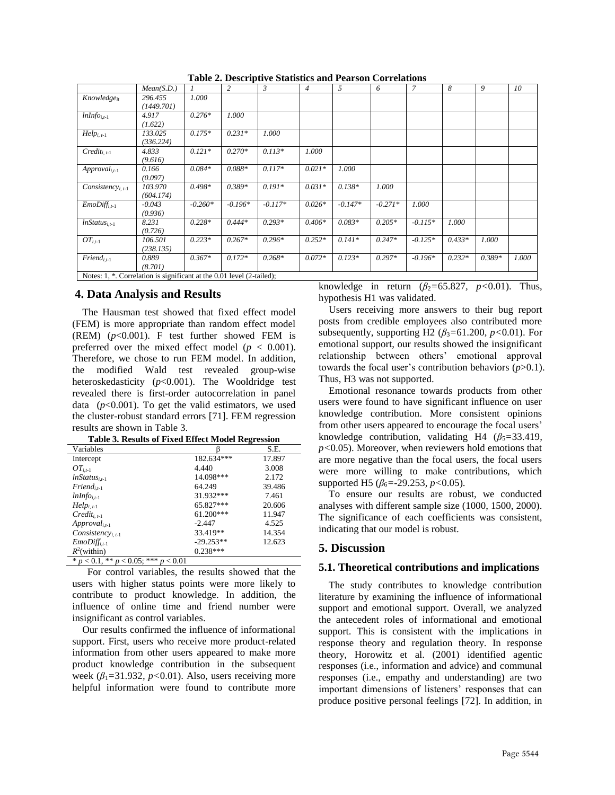|                                                                       | Mean(S.D.) |           | 2         | 3         | $\overline{4}$ | $\mathfrak{F}$ | 6         | $\overline{\phantom{a}}$ | 8        | 9        | 10    |
|-----------------------------------------------------------------------|------------|-----------|-----------|-----------|----------------|----------------|-----------|--------------------------|----------|----------|-------|
| Knowledge <sub>it</sub>                                               | 296.455    | 1.000     |           |           |                |                |           |                          |          |          |       |
|                                                                       | (1449.701) |           |           |           |                |                |           |                          |          |          |       |
| $lnInfoi,t-1$                                                         | 4.917      | $0.276*$  | 1.000     |           |                |                |           |                          |          |          |       |
|                                                                       | (1.622)    |           |           |           |                |                |           |                          |          |          |       |
| $Help_{i.t-1}$                                                        | 133.025    | $0.175*$  | $0.231*$  | 1.000     |                |                |           |                          |          |          |       |
|                                                                       | (336.224)  |           |           |           |                |                |           |                          |          |          |       |
| $Credit_{i,t-1}$                                                      | 4.833      | $0.121*$  | $0.270*$  | $0.113*$  | 1.000          |                |           |                          |          |          |       |
|                                                                       | (9.616)    |           |           |           |                |                |           |                          |          |          |       |
| $Append_{i,t-1}$                                                      | 0.166      | $0.084*$  | $0.088*$  | $0.117*$  | $0.021*$       | 1.000          |           |                          |          |          |       |
|                                                                       | (0.097)    |           |           |           |                |                |           |                          |          |          |       |
| $Consistency_{i,t-1}$                                                 | 103.970    | $0.498*$  | $0.389*$  | $0.191*$  | $0.031*$       | $0.138*$       | 1.000     |                          |          |          |       |
|                                                                       | (604.174)  |           |           |           |                |                |           |                          |          |          |       |
| $EmbDiff_{i,t-1}$                                                     | $-0.043$   | $-0.260*$ | $-0.196*$ | $-0.117*$ | $0.026*$       | $-0.147*$      | $-0.271*$ | 1.000                    |          |          |       |
|                                                                       | (0.936)    |           |           |           |                |                |           |                          |          |          |       |
| $lnStatus_{i,t-1}$                                                    | 8.231      | $0.228*$  | $0.444*$  | $0.293*$  | $0.406*$       | $0.083*$       | $0.205*$  | $-0.115*$                | 1.000    |          |       |
|                                                                       | (0.726)    |           |           |           |                |                |           |                          |          |          |       |
| $OT_{i.t-1}$                                                          | 106.501    | $0.223*$  | $0.267*$  | $0.296*$  | $0.252*$       | $0.141*$       | $0.247*$  | $-0.125*$                | $0.433*$ | 1.000    |       |
|                                                                       | (238.135)  |           |           |           |                |                |           |                          |          |          |       |
| $Find_{i,t-1}$                                                        | 0.889      | $0.367*$  | $0.172*$  | $0.268*$  | $0.072*$       | $0.123*$       | $0.297*$  | $-0.196*$                | $0.232*$ | $0.389*$ | 1.000 |
|                                                                       | (8.701)    |           |           |           |                |                |           |                          |          |          |       |
| Notes: 1, *. Correlation is significant at the 0.01 level (2-tailed); |            |           |           |           |                |                |           |                          |          |          |       |

**Table 2. Descriptive Statistics and Pearson Correlations**

#### **4. Data Analysis and Results**

The Hausman test showed that fixed effect model (FEM) is more appropriate than random effect model (REM) (*p*<0.001). F test further showed FEM is preferred over the mixed effect model ( $p < 0.001$ ). Therefore, we chose to run FEM model. In addition, the modified Wald test revealed group-wise heteroskedasticity (*p*<0.001). The Wooldridge test revealed there is first-order autocorrelation in panel data  $(p<0.001)$ . To get the valid estimators, we used the cluster-robust standard errors [\[71\]](#page-10-30). FEM regression results are shown in Table 3.

| Variables                                    |             | S.E.   |
|----------------------------------------------|-------------|--------|
| Intercept                                    | 182.634***  | 17.897 |
| $OT_{i,t-1}$                                 | 4.440       | 3.008  |
| $lnStatus_{i,t-1}$                           | 14.098***   | 2.172  |
| $Find_{i,t-1}$                               | 64.249      | 39.486 |
| $lnInfo_{i,t-1}$                             | 31.932***   | 7.461  |
| $Help_{i.t-1}$                               | 65.827***   | 20.606 |
| $Credit_{i,t-1}$                             | 61.200***   | 11.947 |
| $Append_{i,t-1}$                             | $-2.447$    | 4.525  |
| Consistency <sub>i, t-1</sub>                | 33.419**    | 14.354 |
| $EmbDiff_{i,t-1}$                            | $-29.253**$ | 12.623 |
| $R^2$ (within)                               | $0.238***$  |        |
| * $p < 0.1$ , ** $p < 0.05$ ; *** $p < 0.01$ |             |        |

**Table 3. Results of Fixed Effect Model Regression**

For control variables, the results showed that the users with higher status points were more likely to contribute to product knowledge. In addition, the influence of online time and friend number were insignificant as control variables.

Our results confirmed the influence of informational support. First, users who receive more product-related information from other users appeared to make more product knowledge contribution in the subsequent week  $(\beta_1 = 31.932, p < 0.01)$ . Also, users receiving more helpful information were found to contribute more knowledge in return  $(\beta_2=65.827, p<0.01)$ . Thus, hypothesis H1 was validated.

Users receiving more answers to their bug report posts from credible employees also contributed more subsequently, supporting H2 (*β*3*=*61.200*, p<*0.01). For emotional support, our results showed the insignificant relationship between others' emotional approval towards the focal user's contribution behaviors (*p*>0.1). Thus, H3 was not supported.

Emotional resonance towards products from other users were found to have significant influence on user knowledge contribution. More consistent opinions from other users appeared to encourage the focal users' knowledge contribution, validating H4  $(\beta_5 = 33.419)$ , *p<*0.05). Moreover, when reviewers hold emotions that are more negative than the focal users, the focal users were more willing to make contributions, which supported H5 ( $β_6$ =-29.253*, p*<0.05).

To ensure our results are robust, we conducted analyses with different sample size (1000, 1500, 2000). The significance of each coefficients was consistent, indicating that our model is robust.

#### **5. Discussion**

#### **5.1. Theoretical contributions and implications**

The study contributes to knowledge contribution literature by examining the influence of informational support and emotional support. Overall, we analyzed the antecedent roles of informational and emotional support. This is consistent with the implications in response theory and regulation theory. In response theory, Horowitz et al. (2001) identified agentic responses (i.e., information and advice) and communal responses (i.e., empathy and understanding) are two important dimensions of listeners' responses that can produce positive personal feelings [\[72\]](#page-10-31). In addition, in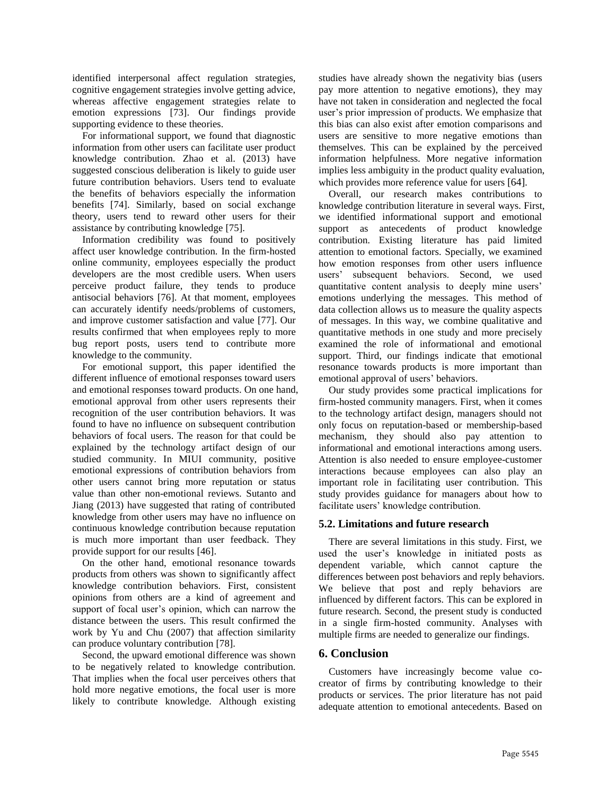identified interpersonal affect regulation strategies, cognitive engagement strategies involve getting advice, whereas affective engagement strategies relate to emotion expressions [\[73\]](#page-10-32). Our findings provide supporting evidence to these theories.

For informational support, we found that diagnostic information from other users can facilitate user product knowledge contribution. Zhao et al. (2013) have suggested conscious deliberation is likely to guide user future contribution behaviors. Users tend to evaluate the benefits of behaviors especially the information benefits [\[74\]](#page-10-33). Similarly, based on social exchange theory, users tend to reward other users for their assistance by contributing knowledge [\[75\]](#page-10-34).

Information credibility was found to positively affect user knowledge contribution. In the firm-hosted online community, employees especially the product developers are the most credible users. When users perceive product failure, they tends to produce antisocial behaviors [\[76\]](#page-10-35). At that moment, employees can accurately identify needs/problems of customers, and improve customer satisfaction and value [\[77\]](#page-10-36). Our results confirmed that when employees reply to more bug report posts, users tend to contribute more knowledge to the community.

For emotional support, this paper identified the different influence of emotional responses toward users and emotional responses toward products. On one hand, emotional approval from other users represents their recognition of the user contribution behaviors. It was found to have no influence on subsequent contribution behaviors of focal users. The reason for that could be explained by the technology artifact design of our studied community. In MIUI community, positive emotional expressions of contribution behaviors from other users cannot bring more reputation or status value than other non-emotional reviews. Sutanto and Jiang (2013) have suggested that rating of contributed knowledge from other users may have no influence on continuous knowledge contribution because reputation is much more important than user feedback. They provide support for our results [\[46\]](#page-10-9).

On the other hand, emotional resonance towards products from others was shown to significantly affect knowledge contribution behaviors. First, consistent opinions from others are a kind of agreement and support of focal user's opinion, which can narrow the distance between the users. This result confirmed the work by Yu and Chu (2007) that affection similarity can produce voluntary contribution [\[78\]](#page-10-37).

Second, the upward emotional difference was shown to be negatively related to knowledge contribution. That implies when the focal user perceives others that hold more negative emotions, the focal user is more likely to contribute knowledge. Although existing

studies have already shown the negativity bias (users pay more attention to negative emotions), they may have not taken in consideration and neglected the focal user's prior impression of products. We emphasize that this bias can also exist after emotion comparisons and users are sensitive to more negative emotions than themselves. This can be explained by the perceived information helpfulness. More negative information implies less ambiguity in the product quality evaluation, which provides more reference value for users [\[64\]](#page-10-38).

Overall, our research makes contributions to knowledge contribution literature in several ways. First, we identified informational support and emotional support as antecedents of product knowledge contribution. Existing literature has paid limited attention to emotional factors. Specially, we examined how emotion responses from other users influence users' subsequent behaviors. Second, we used quantitative content analysis to deeply mine users' emotions underlying the messages. This method of data collection allows us to measure the quality aspects of messages. In this way, we combine qualitative and quantitative methods in one study and more precisely examined the role of informational and emotional support. Third, our findings indicate that emotional resonance towards products is more important than emotional approval of users' behaviors.

Our study provides some practical implications for firm-hosted community managers. First, when it comes to the technology artifact design, managers should not only focus on reputation-based or membership-based mechanism, they should also pay attention to informational and emotional interactions among users. Attention is also needed to ensure employee-customer interactions because employees can also play an important role in facilitating user contribution. This study provides guidance for managers about how to facilitate users' knowledge contribution.

#### **5.2. Limitations and future research**

There are several limitations in this study. First, we used the user's knowledge in initiated posts as dependent variable, which cannot capture the differences between post behaviors and reply behaviors. We believe that post and reply behaviors are influenced by different factors. This can be explored in future research. Second, the present study is conducted in a single firm-hosted community. Analyses with multiple firms are needed to generalize our findings.

#### **6. Conclusion**

Customers have increasingly become value cocreator of firms by contributing knowledge to their products or services. The prior literature has not paid adequate attention to emotional antecedents. Based on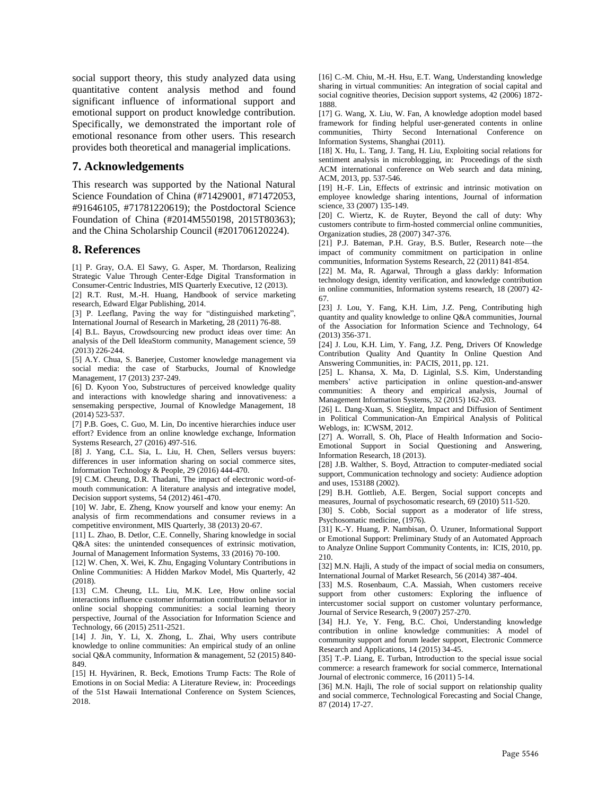social support theory, this study analyzed data using quantitative content analysis method and found significant influence of informational support and emotional support on product knowledge contribution. Specifically, we demonstrated the important role of emotional resonance from other users. This research provides both theoretical and managerial implications.

#### **7. Acknowledgements**

This research was supported by the National Natural Science Foundation of China (#71429001, #71472053, #91646105, #71781220619); the Postdoctoral Science Foundation of China (#2014M550198, 2015T80363); and the China Scholarship Council (#201706120224).

#### **8. References**

<span id="page-9-0"></span>[1] P. Gray, O.A. El Sawy, G. Asper, M. Thordarson, Realizing Strategic Value Through Center-Edge Digital Transformation in Consumer-Centric Industries, MIS Quarterly Executive, 12 (2013).

<span id="page-9-1"></span>[2] R.T. Rust, M.-H. Huang, Handbook of service marketing research, Edward Elgar Publishing, 2014.

<span id="page-9-2"></span>[3] P. Leeflang, Paving the way for "distinguished marketing", International Journal of Research in Marketing, 28 (2011) 76-88.

<span id="page-9-3"></span>[4] B.L. Bayus, Crowdsourcing new product ideas over time: An analysis of the Dell IdeaStorm community, Management science, 59 (2013) 226-244.

<span id="page-9-4"></span>[5] A.Y. Chua, S. Banerjee, Customer knowledge management via social media: the case of Starbucks, Journal of Knowledge Management, 17 (2013) 237-249.

<span id="page-9-5"></span>[6] D. Kyoon Yoo, Substructures of perceived knowledge quality and interactions with knowledge sharing and innovativeness: a sensemaking perspective, Journal of Knowledge Management, 18 (2014) 523-537.

<span id="page-9-6"></span>[7] P.B. Goes, C. Guo, M. Lin, Do incentive hierarchies induce user effort? Evidence from an online knowledge exchange, Information Systems Research, 27 (2016) 497-516.

<span id="page-9-7"></span>[8] J. Yang, C.L. Sia, L. Liu, H. Chen, Sellers versus buyers: differences in user information sharing on social commerce sites, Information Technology & People, 29 (2016) 444-470.

<span id="page-9-8"></span>[9] C.M. Cheung, D.R. Thadani, The impact of electronic word-ofmouth communication: A literature analysis and integrative model, Decision support systems, 54 (2012) 461-470.

<span id="page-9-9"></span>[10] W. Jabr, E. Zheng, Know yourself and know your enemy: An analysis of firm recommendations and consumer reviews in a competitive environment, MIS Quarterly, 38 (2013) 20-67.

<span id="page-9-10"></span>[11] L. Zhao, B. Detlor, C.E. Connelly, Sharing knowledge in social Q&A sites: the unintended consequences of extrinsic motivation, Journal of Management Information Systems, 33 (2016) 70-100.

<span id="page-9-13"></span>[12] W. Chen, X. Wei, K. Zhu, Engaging Voluntary Contributions in Online Communities: A Hidden Markov Model, Mis Quarterly, 42 (2018).

<span id="page-9-14"></span>[13] C.M. Cheung, I.L. Liu, M.K. Lee, How online social interactions influence customer information contribution behavior in online social shopping communities: a social learning theory perspective, Journal of the Association for Information Science and Technology, 66 (2015) 2511-2521.

<span id="page-9-24"></span>[14] J. Jin, Y. Li, X. Zhong, L. Zhai, Why users contribute knowledge to online communities: An empirical study of an online social Q&A community, Information & management, 52 (2015) 840- 849.

<span id="page-9-11"></span>[15] H. Hyvärinen, R. Beck, Emotions Trump Facts: The Role of Emotions in on Social Media: A Literature Review, in: Proceedings of the 51st Hawaii International Conference on System Sciences, 2018.

<span id="page-9-12"></span>[16] C.-M. Chiu, M.-H. Hsu, E.T. Wang, Understanding knowledge sharing in virtual communities: An integration of social capital and social cognitive theories, Decision support systems, 42 (2006) 1872- 1888.

<span id="page-9-15"></span>[17] G. Wang, X. Liu, W. Fan, A knowledge adoption model based framework for finding helpful user-generated contents in online communities, Thirty Second International Conference on Information Systems, Shanghai (2011).

<span id="page-9-16"></span>[18] X. Hu, L. Tang, J. Tang, H. Liu, Exploiting social relations for sentiment analysis in microblogging, in: Proceedings of the sixth ACM international conference on Web search and data mining, ACM, 2013, pp. 537-546.

<span id="page-9-17"></span>[19] H.-F. Lin, Effects of extrinsic and intrinsic motivation on employee knowledge sharing intentions, Journal of information science, 33 (2007) 135-149.

<span id="page-9-18"></span>[20] C. Wiertz, K. de Ruyter, Beyond the call of duty: Why customers contribute to firm-hosted commercial online communities, Organization studies, 28 (2007) 347-376.

<span id="page-9-19"></span>[21] P.J. Bateman, P.H. Gray, B.S. Butler, Research note—the impact of community commitment on participation in online communities, Information Systems Research, 22 (2011) 841-854.

<span id="page-9-35"></span>[22] M. Ma, R. Agarwal, Through a glass darkly: Information technology design, identity verification, and knowledge contribution in online communities, Information systems research, 18 (2007) 42- 67.

<span id="page-9-22"></span>[23] J. Lou, Y. Fang, K.H. Lim, J.Z. Peng, Contributing high quantity and quality knowledge to online Q&A communities, Journal of the Association for Information Science and Technology, 64 (2013) 356-371.

<span id="page-9-23"></span>[24] J. Lou, K.H. Lim, Y. Fang, J.Z. Peng, Drivers Of Knowledge Contribution Quality And Quantity In Online Question And Answering Communities, in: PACIS, 2011, pp. 121.

<span id="page-9-20"></span>[25] L. Khansa, X. Ma, D. Liginlal, S.S. Kim, Understanding members' active participation in online question-and-answer communities: A theory and empirical analysis, Journal of Management Information Systems, 32 (2015) 162-203.

<span id="page-9-21"></span>[26] L. Dang-Xuan, S. Stieglitz, Impact and Diffusion of Sentiment in Political Communication-An Empirical Analysis of Political Weblogs, in: ICWSM, 2012.

<span id="page-9-25"></span>[27] A. Worrall, S. Oh, Place of Health Information and Socio-Emotional Support in Social Questioning and Answering, Information Research, 18 (2013).

<span id="page-9-26"></span>[28] J.B. Walther, S. Boyd, Attraction to computer-mediated social support, Communication technology and society: Audience adoption and uses, 153188 (2002).

<span id="page-9-27"></span>[29] B.H. Gottlieb, A.E. Bergen, Social support concepts and measures, Journal of psychosomatic research, 69 (2010) 511-520.

<span id="page-9-28"></span>[30] S. Cobb, Social support as a moderator of life stress, Psychosomatic medicine, (1976).

<span id="page-9-29"></span>[31] K.-Y. Huang, P. Nambisan, Ö. Uzuner, Informational Support or Emotional Support: Preliminary Study of an Automated Approach to Analyze Online Support Community Contents, in: ICIS, 2010, pp. 210.

<span id="page-9-30"></span>[32] M.N. Hajli, A study of the impact of social media on consumers, International Journal of Market Research, 56 (2014) 387-404.

<span id="page-9-31"></span>[33] M.S. Rosenbaum, C.A. Massiah, When customers receive support from other customers: Exploring the influence of intercustomer social support on customer voluntary performance, Journal of Service Research, 9 (2007) 257-270.

<span id="page-9-32"></span>[34] H.J. Ye, Y. Feng, B.C. Choi, Understanding knowledge contribution in online knowledge communities: A model of community support and forum leader support, Electronic Commerce Research and Applications, 14 (2015) 34-45.

<span id="page-9-33"></span>[35] T.-P. Liang, E. Turban, Introduction to the special issue social commerce: a research framework for social commerce, International Journal of electronic commerce, 16 (2011) 5-14.

<span id="page-9-34"></span>[36] M.N. Hajli, The role of social support on relationship quality and social commerce, Technological Forecasting and Social Change, 87 (2014) 17-27.